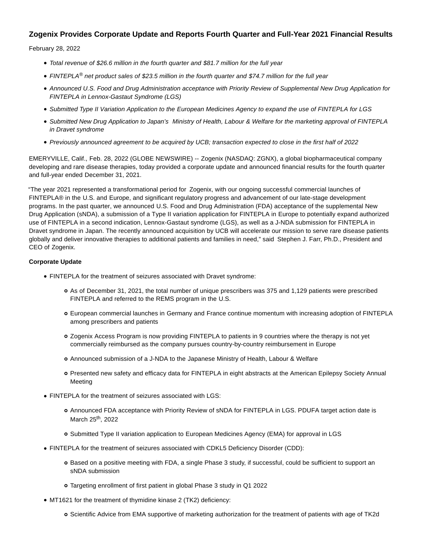# **Zogenix Provides Corporate Update and Reports Fourth Quarter and Full-Year 2021 Financial Results**

February 28, 2022

- Total revenue of \$26.6 million in the fourth quarter and \$81.7 million for the full year
- FINTEPLA<sup>®</sup> net product sales of \$23.5 million in the fourth quarter and \$74.7 million for the full year
- Announced U.S. Food and Drug Administration acceptance with Priority Review of Supplemental New Drug Application for FINTEPLA in Lennox-Gastaut Syndrome (LGS)
- Submitted Type II Variation Application to the European Medicines Agency to expand the use of FINTEPLA for LGS
- Submitted New Drug Application to Japan's Ministry of Health, Labour & Welfare for the marketing approval of FINTEPLA in Dravet syndrome
- Previously announced agreement to be acquired by UCB; transaction expected to close in the first half of 2022

EMERYVILLE, Calif., Feb. 28, 2022 (GLOBE NEWSWIRE) -- Zogenix (NASDAQ: ZGNX), a global biopharmaceutical company developing and rare disease therapies, today provided a corporate update and announced financial results for the fourth quarter and full-year ended December 31, 2021.

"The year 2021 represented a transformational period for Zogenix, with our ongoing successful commercial launches of FINTEPLA® in the U.S. and Europe, and significant regulatory progress and advancement of our late-stage development programs. In the past quarter, we announced U.S. Food and Drug Administration (FDA) acceptance of the supplemental New Drug Application (sNDA), a submission of a Type II variation application for FINTEPLA in Europe to potentially expand authorized use of FINTEPLA in a second indication, Lennox-Gastaut syndrome (LGS), as well as a J-NDA submission for FINTEPLA in Dravet syndrome in Japan. The recently announced acquisition by UCB will accelerate our mission to serve rare disease patients globally and deliver innovative therapies to additional patients and families in need," said Stephen J. Farr, Ph.D., President and CEO of Zogenix.

### **Corporate Update**

- FINTEPLA for the treatment of seizures associated with Dravet syndrome:
	- As of December 31, 2021, the total number of unique prescribers was 375 and 1,129 patients were prescribed FINTEPLA and referred to the REMS program in the U.S.
	- European commercial launches in Germany and France continue momentum with increasing adoption of FINTEPLA among prescribers and patients
	- o Zogenix Access Program is now providing FINTEPLA to patients in 9 countries where the therapy is not yet commercially reimbursed as the company pursues country-by-country reimbursement in Europe
	- Announced submission of a J-NDA to the Japanese Ministry of Health, Labour & Welfare
	- Presented new safety and efficacy data for FINTEPLA in eight abstracts at the American Epilepsy Society Annual **Meeting**
- FINTEPLA for the treatment of seizures associated with LGS:
	- Announced FDA acceptance with Priority Review of sNDA for FINTEPLA in LGS. PDUFA target action date is March 25<sup>th</sup>, 2022
	- Submitted Type II variation application to European Medicines Agency (EMA) for approval in LGS
- FINTEPLA for the treatment of seizures associated with CDKL5 Deficiency Disorder (CDD):
	- Based on a positive meeting with FDA, a single Phase 3 study, if successful, could be sufficient to support an sNDA submission
	- Targeting enrollment of first patient in global Phase 3 study in Q1 2022
- MT1621 for the treatment of thymidine kinase 2 (TK2) deficiency:
	- Scientific Advice from EMA supportive of marketing authorization for the treatment of patients with age of TK2d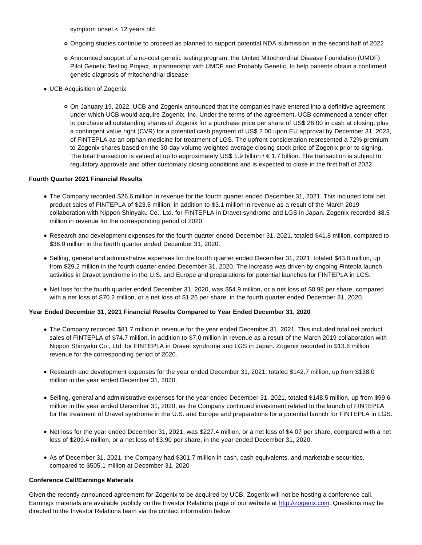symptom onset < 12 years old

- Ongoing studies continue to proceed as planned to support potential NDA submission in the second half of 2022
- Announced support of a no-cost genetic testing program, the United Mitochondrial Disease Foundation (UMDF) Pilot Genetic Testing Project, in partnership with UMDF and Probably Genetic, to help patients obtain a confirmed genetic diagnosis of mitochondrial disease
- UCB Acquisition of Zogenix:
	- On January 19, 2022, UCB and Zogenix announced that the companies have entered into a definitive agreement under which UCB would acquire Zogenix, Inc. Under the terms of the agreement, UCB commenced a tender offer to purchase all outstanding shares of Zogenix for a purchase price per share of US\$ 26.00 in cash at closing, plus a contingent value right (CVR) for a potential cash payment of US\$ 2.00 upon EU approval by December 31, 2023, of FINTEPLA as an orphan medicine for treatment of LGS. The upfront consideration represented a 72% premium to Zogenix shares based on the 30-day volume weighted average closing stock price of Zogenix prior to signing. The total transaction is valued at up to approximately US\$ 1.9 billion  $/ \epsilon$  1.7 billion. The transaction is subject to regulatory approvals and other customary closing conditions and is expected to close in the first half of 2022.

## **Fourth Quarter 2021 Financial Results**

- The Company recorded \$26.6 million in revenue for the fourth quarter ended December 31, 2021. This included total net product sales of FINTEPLA of \$23.5 million, in addition to \$3.1 million in revenue as a result of the March 2019 collaboration with Nippon Shinyaku Co., Ltd. for FINTEPLA in Dravet syndrome and LGS in Japan. Zogenix recorded \$8.5 million in revenue for the corresponding period of 2020.
- Research and development expenses for the fourth quarter ended December 31, 2021, totaled \$41.8 million, compared to \$36.0 million in the fourth quarter ended December 31, 2020.
- Selling, general and administrative expenses for the fourth quarter ended December 31, 2021, totaled \$43.8 million, up from \$29.2 million in the fourth quarter ended December 31, 2020. The increase was driven by ongoing Fintepla launch activities in Dravet syndrome in the U.S. and Europe and preparations for potential launches for FINTEPLA in LGS.
- Net loss for the fourth quarter ended December 31, 2020, was \$54.9 million, or a net loss of \$0.98 per share, compared with a net loss of \$70.2 million, or a net loss of \$1.26 per share, in the fourth quarter ended December 31, 2020.

#### **Year Ended December 31, 2021 Financial Results Compared to Year Ended December 31, 2020**

- The Company recorded \$81.7 million in revenue for the year ended December 31, 2021. This included total net product sales of FINTEPLA of \$74.7 million, in addition to \$7.0 million in revenue as a result of the March 2019 collaboration with Nippon Shinyaku Co., Ltd. for FINTEPLA in Dravet syndrome and LGS in Japan. Zogenix recorded in \$13.6 million revenue for the corresponding period of 2020.
- Research and development expenses for the year ended December 31, 2021, totaled \$142.7 million, up from \$138.0 million in the year ended December 31, 2020.
- Selling, general and administrative expenses for the year ended December 31, 2021, totaled \$148.5 million, up from \$99.6 million in the year ended December 31, 2020, as the Company continued investment related to the launch of FINTEPLA for the treatment of Dravet syndrome in the U.S. and Europe and preparations for a potential launch for FINTEPLA in LGS.
- Net loss for the year ended December 31, 2021, was \$227.4 million, or a net loss of \$4.07 per share, compared with a net loss of \$209.4 million, or a net loss of \$3.90 per share, in the year ended December 31, 2020.
- As of December 31, 2021, the Company had \$301.7 million in cash, cash equivalents, and marketable securities, compared to \$505.1 million at December 31, 2020

#### **Conference Call/Earnings Materials**

Given the recently announced agreement for Zogenix to be acquired by UCB, Zogenix will not be hosting a conference call. Earnings materials are available publicly on the Investor Relations page of our website at [http://zogenix.com.](http://zogenix.com/) Questions may be directed to the Investor Relations team via the contact information below.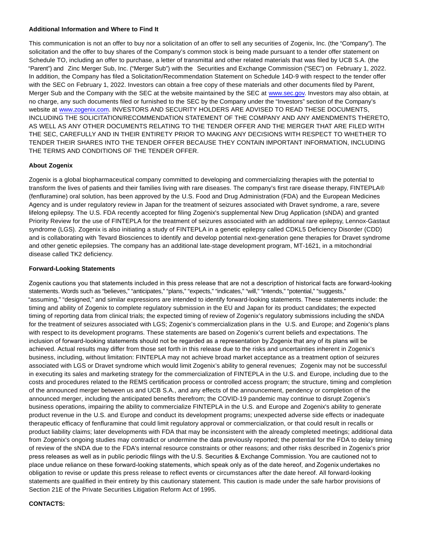#### **Additional Information and Where to Find It**

This communication is not an offer to buy nor a solicitation of an offer to sell any securities of Zogenix, Inc. (the "Company"). The solicitation and the offer to buy shares of the Company's common stock is being made pursuant to a tender offer statement on Schedule TO, including an offer to purchase, a letter of transmittal and other related materials that was filed by UCB S.A. (the "Parent") and Zinc Merger Sub, Inc. ("Merger Sub") with the Securities and Exchange Commission ("SEC") on February 1, 2022. In addition, the Company has filed a Solicitation/Recommendation Statement on Schedule 14D-9 with respect to the tender offer with the SEC on February 1, 2022. Investors can obtain a free copy of these materials and other documents filed by Parent, Merger Sub and the Company with the SEC at the website maintained by the SEC at [www.sec.gov.](http://www.sec.gov/) Investors may also obtain, at no charge, any such documents filed or furnished to the SEC by the Company under the "Investors" section of the Company's website at [www.zogenix.com.](http://www.zogenix.com/) INVESTORS AND SECURITY HOLDERS ARE ADVISED TO READ THESE DOCUMENTS, INCLUDING THE SOLICITATION/RECOMMENDATION STATEMENT OF THE COMPANY AND ANY AMENDMENTS THERETO, AS WELL AS ANY OTHER DOCUMENTS RELATING TO THE TENDER OFFER AND THE MERGER THAT ARE FILED WITH THE SEC, CAREFULLY AND IN THEIR ENTIRETY PRIOR TO MAKING ANY DECISIONS WITH RESPECT TO WHETHER TO TENDER THEIR SHARES INTO THE TENDER OFFER BECAUSE THEY CONTAIN IMPORTANT INFORMATION, INCLUDING THE TERMS AND CONDITIONS OF THE TENDER OFFER.

### **About Zogenix**

Zogenix is a global biopharmaceutical company committed to developing and commercializing therapies with the potential to transform the lives of patients and their families living with rare diseases. The company's first rare disease therapy, FINTEPLA® (fenfluramine) oral solution, has been approved by the U.S. Food and Drug Administration (FDA) and the European Medicines Agency and is under regulatory review in Japan for the treatment of seizures associated with Dravet syndrome, a rare, severe lifelong epilepsy. The U.S. FDA recently accepted for filing Zogenix's supplemental New Drug Application (sNDA) and granted Priority Review for the use of FINTEPLA for the treatment of seizures associated with an additional rare epilepsy, Lennox-Gastaut syndrome (LGS). Zogenix is also initiating a study of FINTEPLA in a genetic epilepsy called CDKL5 Deficiency Disorder (CDD) and is collaborating with Tevard Biosciences to identify and develop potential next-generation gene therapies for Dravet syndrome and other genetic epilepsies. The company has an additional late-stage development program, MT-1621, in a mitochondrial disease called TK2 deficiency.

### **Forward-Looking Statements**

Zogenix cautions you that statements included in this press release that are not a description of historical facts are forward-looking statements. Words such as "believes," "anticipates," "plans," "expects," "indicates," "will," "intends," "potential," "suggests," "assuming," "designed," and similar expressions are intended to identify forward-looking statements. These statements include: the timing and ability of Zogenix to complete regulatory submission in the EU and Japan for its product candidates; the expected timing of reporting data from clinical trials; the expected timing of review of Zogenix's regulatory submissions including the sNDA for the treatment of seizures associated with LGS; Zogenix's commercialization plans in the U.S. and Europe; and Zogenix's plans with respect to its development programs. These statements are based on Zogenix's current beliefs and expectations. The inclusion of forward-looking statements should not be regarded as a representation by Zogenix that any of its plans will be achieved. Actual results may differ from those set forth in this release due to the risks and uncertainties inherent in Zogenix's business, including, without limitation: FINTEPLA may not achieve broad market acceptance as a treatment option of seizures associated with LGS or Dravet syndrome which would limit Zogenix's ability to general revenues; Zogenix may not be successful in executing its sales and marketing strategy for the commercialization of FINTEPLA in the U.S. and Europe, including due to the costs and procedures related to the REMS certification process or controlled access program; the structure, timing and completion of the announced merger between us and UCB S.A., and any effects of the announcement, pendency or completion of the announced merger, including the anticipated benefits therefrom; the COVID-19 pandemic may continue to disrupt Zogenix's business operations, impairing the ability to commercialize FINTEPLA in the U.S. and Europe and Zogenix's ability to generate product revenue in the U.S. and Europe and conduct its development programs; unexpected adverse side effects or inadequate therapeutic efficacy of fenfluramine that could limit regulatory approval or commercialization, or that could result in recalls or product liability claims; later developments with FDA that may be inconsistent with the already completed meetings; additional data from Zogenix's ongoing studies may contradict or undermine the data previously reported; the potential for the FDA to delay timing of review of the sNDA due to the FDA's internal resource constraints or other reasons; and other risks described in Zogenix's prior press releases as well as in public periodic filings with the U.S. Securities & Exchange Commission. You are cautioned not to place undue reliance on these forward-looking statements, which speak only as of the date hereof, and Zogenix undertakes no obligation to revise or update this press release to reflect events or circumstances after the date hereof. All forward-looking statements are qualified in their entirety by this cautionary statement. This caution is made under the safe harbor provisions of Section 21E of the Private Securities Litigation Reform Act of 1995.

#### **CONTACTS:**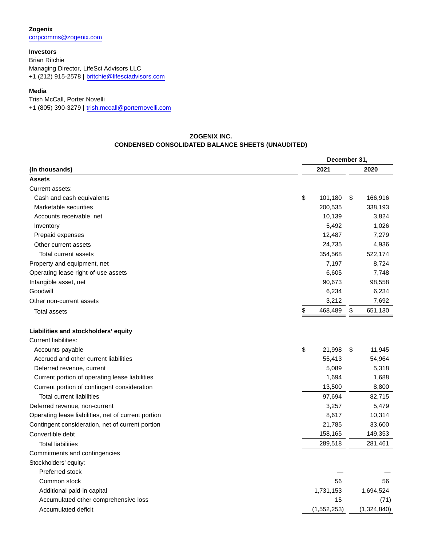**Zogenix** [corpcomms@zogenix.com](mailto:corpcomms@zogenix.com)

**Investors** Brian Ritchie Managing Director, LifeSci Advisors LLC +1 (212) 915-2578 | [britchie@lifesciadvisors.com](mailto:britchie@lifesciadvisors.com)

## **Media**

Trish McCall, Porter Novelli

+1 (805) 390-3279 | [trish.mccall@porternovelli.com](mailto:trish.mccall@porternovelli.com)

## **ZOGENIX INC. CONDENSED CONSOLIDATED BALANCE SHEETS (UNAUDITED)**

|                                                     |               | December 31,  |  |  |  |  |
|-----------------------------------------------------|---------------|---------------|--|--|--|--|
| (In thousands)                                      | 2021          | 2020          |  |  |  |  |
| <b>Assets</b>                                       |               |               |  |  |  |  |
| Current assets:                                     |               |               |  |  |  |  |
| Cash and cash equivalents                           | \$<br>101,180 | \$<br>166,916 |  |  |  |  |
| Marketable securities                               | 200,535       | 338,193       |  |  |  |  |
| Accounts receivable, net                            | 10,139        | 3,824         |  |  |  |  |
| Inventory                                           | 5,492         | 1,026         |  |  |  |  |
| Prepaid expenses                                    | 12,487        | 7,279         |  |  |  |  |
| Other current assets                                | 24,735        | 4,936         |  |  |  |  |
| Total current assets                                | 354,568       | 522,174       |  |  |  |  |
| Property and equipment, net                         | 7,197         | 8,724         |  |  |  |  |
| Operating lease right-of-use assets                 | 6,605         | 7,748         |  |  |  |  |
| Intangible asset, net                               | 90,673        | 98,558        |  |  |  |  |
| Goodwill                                            | 6,234         | 6,234         |  |  |  |  |
| Other non-current assets                            | 3,212         | 7,692         |  |  |  |  |
| <b>Total assets</b>                                 | \$<br>468,489 | \$<br>651,130 |  |  |  |  |
| Liabilities and stockholders' equity                |               |               |  |  |  |  |
| <b>Current liabilities:</b>                         |               |               |  |  |  |  |
| Accounts payable                                    | \$<br>21,998  | 11,945<br>\$  |  |  |  |  |
| Accrued and other current liabilities               | 55,413        | 54,964        |  |  |  |  |
| Deferred revenue, current                           | 5,089         | 5,318         |  |  |  |  |
| Current portion of operating lease liabilities      | 1,694         | 1,688         |  |  |  |  |
| Current portion of contingent consideration         | 13,500        | 8,800         |  |  |  |  |
| <b>Total current liabilities</b>                    | 97,694        | 82,715        |  |  |  |  |
| Deferred revenue, non-current                       | 3,257         | 5,479         |  |  |  |  |
| Operating lease liabilities, net of current portion | 8,617         | 10,314        |  |  |  |  |
| Contingent consideration, net of current portion    | 21,785        | 33,600        |  |  |  |  |
| Convertible debt                                    | 158,165       | 149,353       |  |  |  |  |
| <b>Total liabilities</b>                            | 289,518       | 281,461       |  |  |  |  |
| Commitments and contingencies                       |               |               |  |  |  |  |
| Stockholders' equity:                               |               |               |  |  |  |  |
| Preferred stock                                     |               |               |  |  |  |  |
| Common stock                                        | 56            | 56            |  |  |  |  |
| Additional paid-in capital                          | 1,731,153     | 1,694,524     |  |  |  |  |
| Accumulated other comprehensive loss                | 15            | (71)          |  |  |  |  |
| Accumulated deficit                                 | (1,552,253)   | (1,324,840)   |  |  |  |  |